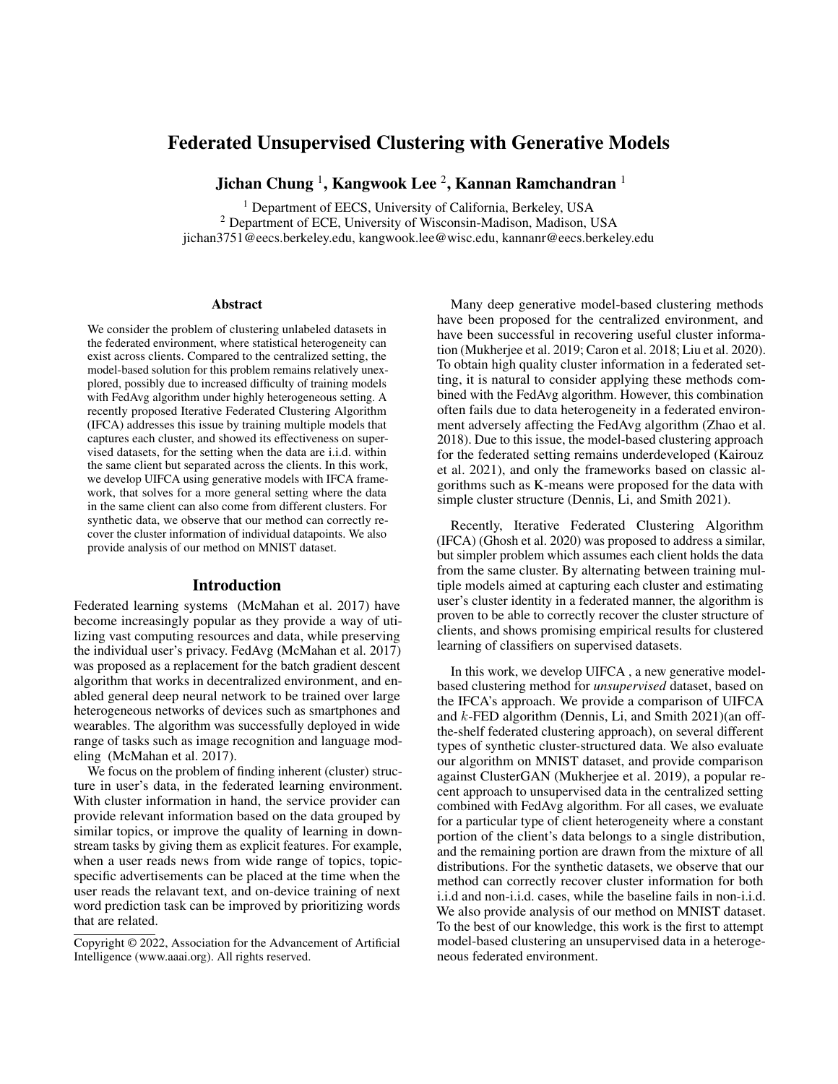# Federated Unsupervised Clustering with Generative Models

Jichan Chung  $^1$ , Kangwook Lee  $^2$ , Kannan Ramchandran  $^1$ 

<sup>1</sup> Department of EECS, University of California, Berkeley, USA

<sup>2</sup> Department of ECE, University of Wisconsin-Madison, Madison, USA

jichan3751@eecs.berkeley.edu, kangwook.lee@wisc.edu, kannanr@eecs.berkeley.edu

#### **Abstract**

We consider the problem of clustering unlabeled datasets in the federated environment, where statistical heterogeneity can exist across clients. Compared to the centralized setting, the model-based solution for this problem remains relatively unexplored, possibly due to increased difficulty of training models with FedAvg algorithm under highly heterogeneous setting. A recently proposed Iterative Federated Clustering Algorithm (IFCA) addresses this issue by training multiple models that captures each cluster, and showed its effectiveness on supervised datasets, for the setting when the data are i.i.d. within the same client but separated across the clients. In this work, we develop UIFCA using generative models with IFCA framework, that solves for a more general setting where the data in the same client can also come from different clusters. For synthetic data, we observe that our method can correctly recover the cluster information of individual datapoints. We also provide analysis of our method on MNIST dataset.

### Introduction

Federated learning systems (McMahan et al. 2017) have become increasingly popular as they provide a way of utilizing vast computing resources and data, while preserving the individual user's privacy. FedAvg (McMahan et al. 2017) was proposed as a replacement for the batch gradient descent algorithm that works in decentralized environment, and enabled general deep neural network to be trained over large heterogeneous networks of devices such as smartphones and wearables. The algorithm was successfully deployed in wide range of tasks such as image recognition and language modeling (McMahan et al. 2017).

We focus on the problem of finding inherent (cluster) structure in user's data, in the federated learning environment. With cluster information in hand, the service provider can provide relevant information based on the data grouped by similar topics, or improve the quality of learning in downstream tasks by giving them as explicit features. For example, when a user reads news from wide range of topics, topicspecific advertisements can be placed at the time when the user reads the relavant text, and on-device training of next word prediction task can be improved by prioritizing words that are related.

Many deep generative model-based clustering methods have been proposed for the centralized environment, and have been successful in recovering useful cluster information (Mukherjee et al. 2019; Caron et al. 2018; Liu et al. 2020). To obtain high quality cluster information in a federated setting, it is natural to consider applying these methods combined with the FedAvg algorithm. However, this combination often fails due to data heterogeneity in a federated environment adversely affecting the FedAvg algorithm (Zhao et al. 2018). Due to this issue, the model-based clustering approach for the federated setting remains underdeveloped (Kairouz et al. 2021), and only the frameworks based on classic algorithms such as K-means were proposed for the data with simple cluster structure (Dennis, Li, and Smith 2021).

Recently, Iterative Federated Clustering Algorithm (IFCA) (Ghosh et al. 2020) was proposed to address a similar, but simpler problem which assumes each client holds the data from the same cluster. By alternating between training multiple models aimed at capturing each cluster and estimating user's cluster identity in a federated manner, the algorithm is proven to be able to correctly recover the cluster structure of clients, and shows promising empirical results for clustered learning of classifiers on supervised datasets.

In this work, we develop UIFCA , a new generative modelbased clustering method for *unsupervised* dataset, based on the IFCA's approach. We provide a comparison of UIFCA and k-FED algorithm (Dennis, Li, and Smith 2021)(an offthe-shelf federated clustering approach), on several different types of synthetic cluster-structured data. We also evaluate our algorithm on MNIST dataset, and provide comparison against ClusterGAN (Mukherjee et al. 2019), a popular recent approach to unsupervised data in the centralized setting combined with FedAvg algorithm. For all cases, we evaluate for a particular type of client heterogeneity where a constant portion of the client's data belongs to a single distribution, and the remaining portion are drawn from the mixture of all distributions. For the synthetic datasets, we observe that our method can correctly recover cluster information for both i.i.d and non-i.i.d. cases, while the baseline fails in non-i.i.d. We also provide analysis of our method on MNIST dataset. To the best of our knowledge, this work is the first to attempt model-based clustering an unsupervised data in a heterogeneous federated environment.

Copyright © 2022, Association for the Advancement of Artificial Intelligence (www.aaai.org). All rights reserved.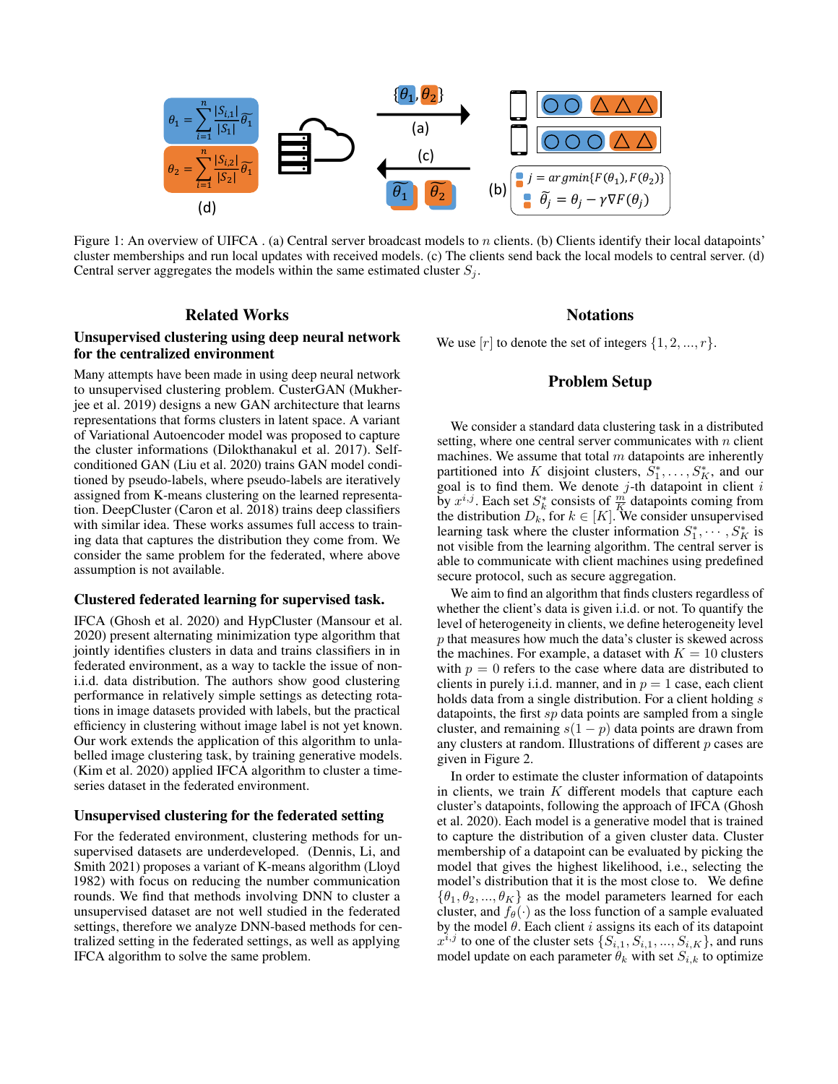

Figure 1: An overview of UIFCA . (a) Central server broadcast models to n clients. (b) Clients identify their local datapoints' cluster memberships and run local updates with received models. (c) The clients send back the local models to central server. (d) Central server aggregates the models within the same estimated cluster  $S_j$ .

# Related Works

# Unsupervised clustering using deep neural network for the centralized environment

Many attempts have been made in using deep neural network to unsupervised clustering problem. CusterGAN (Mukherjee et al. 2019) designs a new GAN architecture that learns representations that forms clusters in latent space. A variant of Variational Autoencoder model was proposed to capture the cluster informations (Dilokthanakul et al. 2017). Selfconditioned GAN (Liu et al. 2020) trains GAN model conditioned by pseudo-labels, where pseudo-labels are iteratively assigned from K-means clustering on the learned representation. DeepCluster (Caron et al. 2018) trains deep classifiers with similar idea. These works assumes full access to training data that captures the distribution they come from. We consider the same problem for the federated, where above assumption is not available.

### Clustered federated learning for supervised task.

IFCA (Ghosh et al. 2020) and HypCluster (Mansour et al. 2020) present alternating minimization type algorithm that jointly identifies clusters in data and trains classifiers in in federated environment, as a way to tackle the issue of noni.i.d. data distribution. The authors show good clustering performance in relatively simple settings as detecting rotations in image datasets provided with labels, but the practical efficiency in clustering without image label is not yet known. Our work extends the application of this algorithm to unlabelled image clustering task, by training generative models. (Kim et al. 2020) applied IFCA algorithm to cluster a timeseries dataset in the federated environment.

#### Unsupervised clustering for the federated setting

For the federated environment, clustering methods for unsupervised datasets are underdeveloped. (Dennis, Li, and Smith 2021) proposes a variant of K-means algorithm (Lloyd 1982) with focus on reducing the number communication rounds. We find that methods involving DNN to cluster a unsupervised dataset are not well studied in the federated settings, therefore we analyze DNN-based methods for centralized setting in the federated settings, as well as applying IFCA algorithm to solve the same problem.

# **Notations**

We use  $[r]$  to denote the set of integers  $\{1, 2, ..., r\}$ .

# Problem Setup

We consider a standard data clustering task in a distributed setting, where one central server communicates with  $n$  client machines. We assume that total  $m$  datapoints are inherently partitioned into K disjoint clusters,  $\tilde{S}_1^*, \ldots, S_K^*$ , and our goal is to find them. We denote  $j$ -th datapoint in client  $i$ by  $x^{i,j}$ . Each set  $S_k^*$  consists of  $\frac{m}{K}$  datapoints coming from the distribution  $D_k$ , for  $k \in [K]$ . We consider unsupervised learning task where the cluster information  $S_1^*, \cdots, S_K^*$  is not visible from the learning algorithm. The central server is able to communicate with client machines using predefined secure protocol, such as secure aggregation.

We aim to find an algorithm that finds clusters regardless of whether the client's data is given i.i.d. or not. To quantify the level of heterogeneity in clients, we define heterogeneity level p that measures how much the data's cluster is skewed across the machines. For example, a dataset with  $K = 10$  clusters with  $p = 0$  refers to the case where data are distributed to clients in purely i.i.d. manner, and in  $p = 1$  case, each client holds data from a single distribution. For a client holding s datapoints, the first sp data points are sampled from a single cluster, and remaining  $s(1 - p)$  data points are drawn from any clusters at random. Illustrations of different  $p$  cases are given in Figure 2.

In order to estimate the cluster information of datapoints in clients, we train  $K$  different models that capture each cluster's datapoints, following the approach of IFCA (Ghosh et al. 2020). Each model is a generative model that is trained to capture the distribution of a given cluster data. Cluster membership of a datapoint can be evaluated by picking the model that gives the highest likelihood, i.e., selecting the model's distribution that it is the most close to. We define  $\{\theta_1, \theta_2, ..., \theta_K\}$  as the model parameters learned for each cluster, and  $f_{\theta}(\cdot)$  as the loss function of a sample evaluated by the model  $\theta$ . Each client i assigns its each of its datapoint  $x^{i,j}$  to one of the cluster sets  $\{S_{i,1}, S_{i,1}, ..., S_{i,K}\}$ , and runs model update on each parameter  $\theta_k$  with set  $S_{i,k}$  to optimize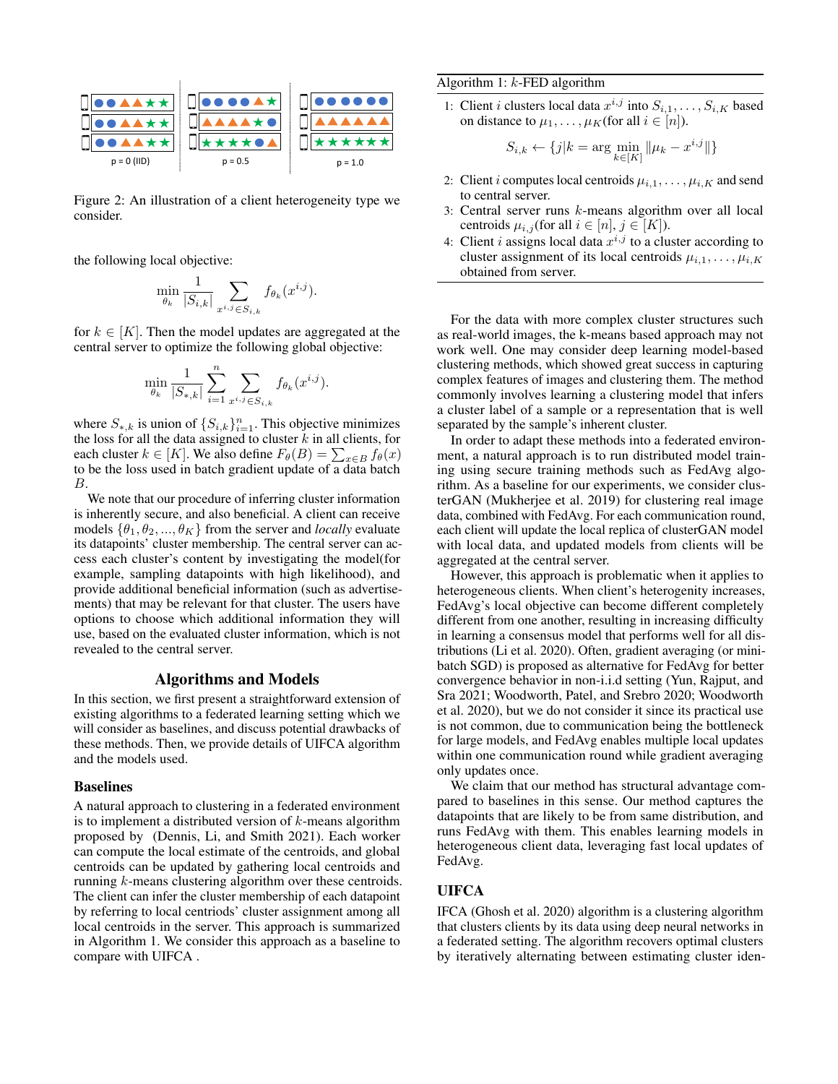

Figure 2: An illustration of a client heterogeneity type we consider.

the following local objective:

$$
\min_{\theta_k} \frac{1}{|S_{i,k}|} \sum_{x^{i,j} \in S_{i,k}} f_{\theta_k}(x^{i,j}).
$$

for  $k \in [K]$ . Then the model updates are aggregated at the central server to optimize the following global objective:

$$
\min_{\theta_k} \frac{1}{|S_{*,k}|} \sum_{i=1}^n \sum_{x^{i,j} \in S_{i,k}} f_{\theta_k}(x^{i,j}).
$$

where  $S_{*,k}$  is union of  $\{S_{i,k}\}_{i=1}^n$ . This objective minimizes the loss for all the data assigned to cluster  $k$  in all clients, for each cluster  $k \in [K]$ . We also define  $F_{\theta}(B) = \sum_{x \in B} f_{\theta}(x)$ to be the loss used in batch gradient update of a data batch B.

We note that our procedure of inferring cluster information is inherently secure, and also beneficial. A client can receive models  $\{\theta_1, \theta_2, ..., \theta_K\}$  from the server and *locally* evaluate its datapoints' cluster membership. The central server can access each cluster's content by investigating the model(for example, sampling datapoints with high likelihood), and provide additional beneficial information (such as advertisements) that may be relevant for that cluster. The users have options to choose which additional information they will use, based on the evaluated cluster information, which is not revealed to the central server.

### Algorithms and Models

In this section, we first present a straightforward extension of existing algorithms to a federated learning setting which we will consider as baselines, and discuss potential drawbacks of these methods. Then, we provide details of UIFCA algorithm and the models used.

#### **Baselines**

A natural approach to clustering in a federated environment is to implement a distributed version of  $k$ -means algorithm proposed by (Dennis, Li, and Smith 2021). Each worker can compute the local estimate of the centroids, and global centroids can be updated by gathering local centroids and running k-means clustering algorithm over these centroids. The client can infer the cluster membership of each datapoint by referring to local centriods' cluster assignment among all local centroids in the server. This approach is summarized in Algorithm 1. We consider this approach as a baseline to compare with UIFCA .

### Algorithm 1: k-FED algorithm

1: Client *i* clusters local data  $x^{i,j}$  into  $S_{i,1}, \ldots, S_{i,K}$  based on distance to  $\mu_1, \ldots, \mu_K$ (for all  $i \in [n]$ ).

$$
S_{i,k} \leftarrow \{j | k = \arg \min_{k \in [K]} \| \mu_k - x^{i,j} \| \}
$$

- 2: Client *i* computes local centroids  $\mu_{i,1}, \ldots, \mu_{i,K}$  and send to central server.
- 3: Central server runs k-means algorithm over all local centroids  $\mu_{i,j}$  (for all  $i \in [n], j \in [K]$ ).
- 4: Client *i* assigns local data  $x^{i,j}$  to a cluster according to cluster assignment of its local centroids  $\mu_{i,1}, \ldots, \mu_{i,K}$ obtained from server.

For the data with more complex cluster structures such as real-world images, the k-means based approach may not work well. One may consider deep learning model-based clustering methods, which showed great success in capturing complex features of images and clustering them. The method commonly involves learning a clustering model that infers a cluster label of a sample or a representation that is well separated by the sample's inherent cluster.

In order to adapt these methods into a federated environment, a natural approach is to run distributed model training using secure training methods such as FedAvg algorithm. As a baseline for our experiments, we consider clusterGAN (Mukherjee et al. 2019) for clustering real image data, combined with FedAvg. For each communication round, each client will update the local replica of clusterGAN model with local data, and updated models from clients will be aggregated at the central server.

However, this approach is problematic when it applies to heterogeneous clients. When client's heterogenity increases, FedAvg's local objective can become different completely different from one another, resulting in increasing difficulty in learning a consensus model that performs well for all distributions (Li et al. 2020). Often, gradient averaging (or minibatch SGD) is proposed as alternative for FedAvg for better convergence behavior in non-i.i.d setting (Yun, Rajput, and Sra 2021; Woodworth, Patel, and Srebro 2020; Woodworth et al. 2020), but we do not consider it since its practical use is not common, due to communication being the bottleneck for large models, and FedAvg enables multiple local updates within one communication round while gradient averaging only updates once.

We claim that our method has structural advantage compared to baselines in this sense. Our method captures the datapoints that are likely to be from same distribution, and runs FedAvg with them. This enables learning models in heterogeneous client data, leveraging fast local updates of FedAvg.

# UIFCA

IFCA (Ghosh et al. 2020) algorithm is a clustering algorithm that clusters clients by its data using deep neural networks in a federated setting. The algorithm recovers optimal clusters by iteratively alternating between estimating cluster iden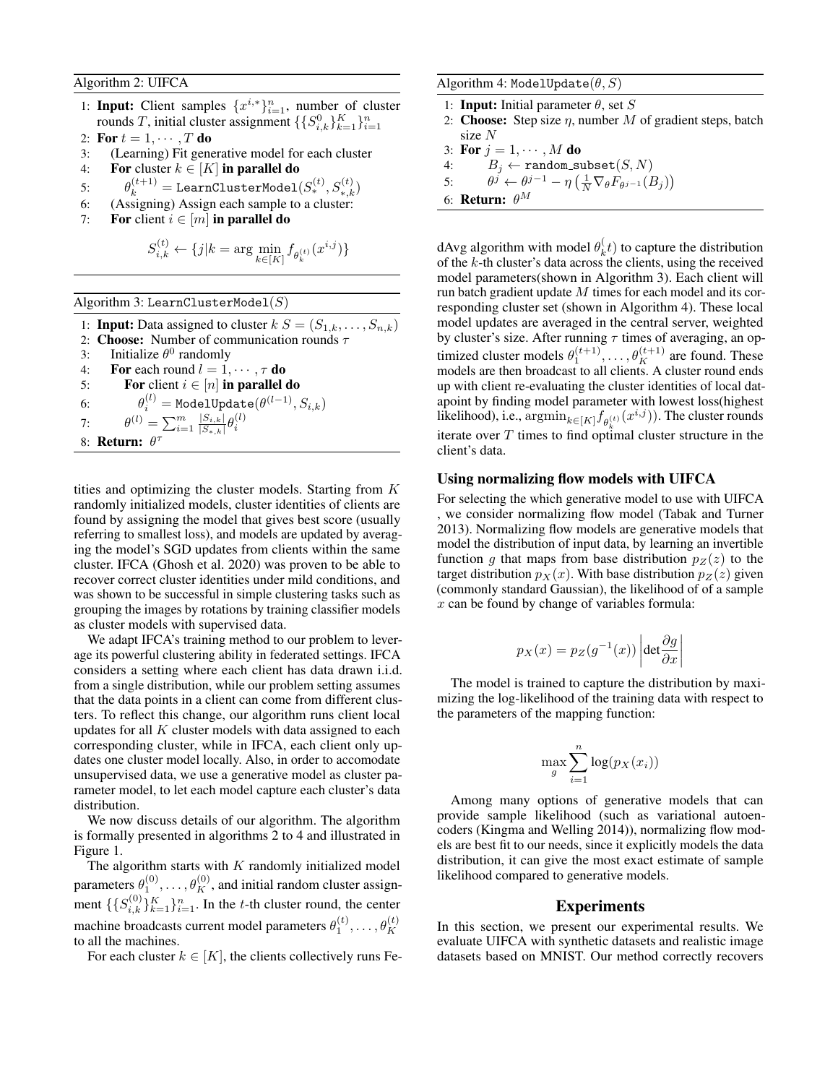Algorithm 2: UIFCA

- 1: Input: Client samples  $\{x^{i,*}\}_{i=1}^n$ , number of cluster rounds T, initial cluster assignment  $\{\{S_{i,k}^0\}_{k=1}^K\}_{i=1}^n$
- 2: For  $t = 1, \cdots, T$  do
- 3: (Learning) Fit generative model for each cluster
- 4: For cluster  $k \in [K]$  in parallel do
- 5:  $\theta_k^{(t+1)} = \texttt{LearnClusterModel}(S_*^{(t)}, S_{*,k}^{(t)})$
- 6: (Assigning) Assign each sample to a cluster:
- 7: For client  $i \in [m]$  in parallel do

$$
S_{i,k}^{(t)} \leftarrow \{j | k = \arg \min_{k \in [K]} f_{\theta_k^{(t)}}(x^{i,j})\}
$$

Algorithm 3: LearnClusterMode $1(S)$ 

1: **Input:** Data assigned to cluster  $k S = (S_{1,k}, \ldots, S_{n,k})$ 

- 2: Choose: Number of communication rounds  $\tau$
- 3: Initialize  $\theta^0$  randomly
- 4: For each round  $l = 1, \dots, \tau$  do
- 5: **For** client  $i \in [n]$  in parallel do
- 6:  $\theta^{(l)}_i = \texttt{ModelUpdate}(\theta^{(l-1)}, S_{i,k})$

7:  $\theta^{(l)} = \sum_{i=1}^{m} \frac{|S_{i,k}|}{|S_{i,k}|}$  $\frac{|S_{i,k}|}{|S_{*,k}|}\theta_i^{(l)}$ 

8: Return:  $\theta^{\tau}$ 

tities and optimizing the cluster models. Starting from K randomly initialized models, cluster identities of clients are found by assigning the model that gives best score (usually referring to smallest loss), and models are updated by averaging the model's SGD updates from clients within the same cluster. IFCA (Ghosh et al. 2020) was proven to be able to recover correct cluster identities under mild conditions, and was shown to be successful in simple clustering tasks such as grouping the images by rotations by training classifier models as cluster models with supervised data.

We adapt IFCA's training method to our problem to leverage its powerful clustering ability in federated settings. IFCA considers a setting where each client has data drawn i.i.d. from a single distribution, while our problem setting assumes that the data points in a client can come from different clusters. To reflect this change, our algorithm runs client local updates for all  $K$  cluster models with data assigned to each corresponding cluster, while in IFCA, each client only updates one cluster model locally. Also, in order to accomodate unsupervised data, we use a generative model as cluster parameter model, to let each model capture each cluster's data distribution.

We now discuss details of our algorithm. The algorithm is formally presented in algorithms 2 to 4 and illustrated in Figure 1.

The algorithm starts with  $K$  randomly initialized model parameters  $\theta_1^{(0)}, \ldots, \theta_K^{(0)}$ , and initial random cluster assignment  $\{\{S_{i,k}^{(0)}\}_{k=1}^K\}_{i=1}^n$ . In the t-th cluster round, the center machine broadcasts current model parameters  $\theta_1^{(t)}, \ldots, \theta_K^{(t)}$ to all the machines.

For each cluster  $k \in [K]$ , the clients collectively runs Fe-

Algorithm 4: ModelUpdate $(\theta, S)$ 

- 1: **Input:** Initial parameter  $\theta$ , set S
- 2: Choose: Step size  $\eta$ , number M of gradient steps, batch size N
- 3: For  $j = 1, \dots, M$  do
- $4\colon \qquad B_j \leftarrow \texttt{random\_subset}(S,N)$
- 5:  $\theta^j \leftarrow \theta^{j-1} \eta \left( \frac{1}{N} \nabla_{\theta} F_{\theta^{j-1}}(B_j) \right)$
- 6: **Return:**  $\theta^M$

dAvg algorithm with model  $\theta_k^{\langle}$  $\mathbf{k}^{(t)}(t)$  to capture the distribution of the  $k$ -th cluster's data across the clients, using the received model parameters(shown in Algorithm 3). Each client will run batch gradient update  $M$  times for each model and its corresponding cluster set (shown in Algorithm 4). These local model updates are averaged in the central server, weighted by cluster's size. After running  $\tau$  times of averaging, an optimized cluster models  $\theta_1^{(t+1)}, \dots, \theta_K^{(t+1)}$  are found. These models are then broadcast to all clients. A cluster round ends up with client re-evaluating the cluster identities of local datapoint by finding model parameter with lowest loss(highest likelihood), i.e.,  $\operatorname{argmin}_{k \in [K]} f_{\theta_k^{(t)}}(x^{i,j})$ . The cluster rounds iterate over T times to find optimal cluster structure in the client's data.

### Using normalizing flow models with UIFCA

For selecting the which generative model to use with UIFCA , we consider normalizing flow model (Tabak and Turner 2013). Normalizing flow models are generative models that model the distribution of input data, by learning an invertible function q that maps from base distribution  $p_Z(z)$  to the target distribution  $p_X(x)$ . With base distribution  $p_Z(z)$  given (commonly standard Gaussian), the likelihood of of a sample  $x$  can be found by change of variables formula:

$$
p_X(x) = p_Z(g^{-1}(x)) \left| \det \frac{\partial g}{\partial x} \right|
$$

The model is trained to capture the distribution by maximizing the log-likelihood of the training data with respect to the parameters of the mapping function:

$$
\max_{g} \sum_{i=1}^{n} \log(p_X(x_i))
$$

Among many options of generative models that can provide sample likelihood (such as variational autoencoders (Kingma and Welling 2014)), normalizing flow models are best fit to our needs, since it explicitly models the data distribution, it can give the most exact estimate of sample likelihood compared to generative models.

## Experiments

In this section, we present our experimental results. We evaluate UIFCA with synthetic datasets and realistic image datasets based on MNIST. Our method correctly recovers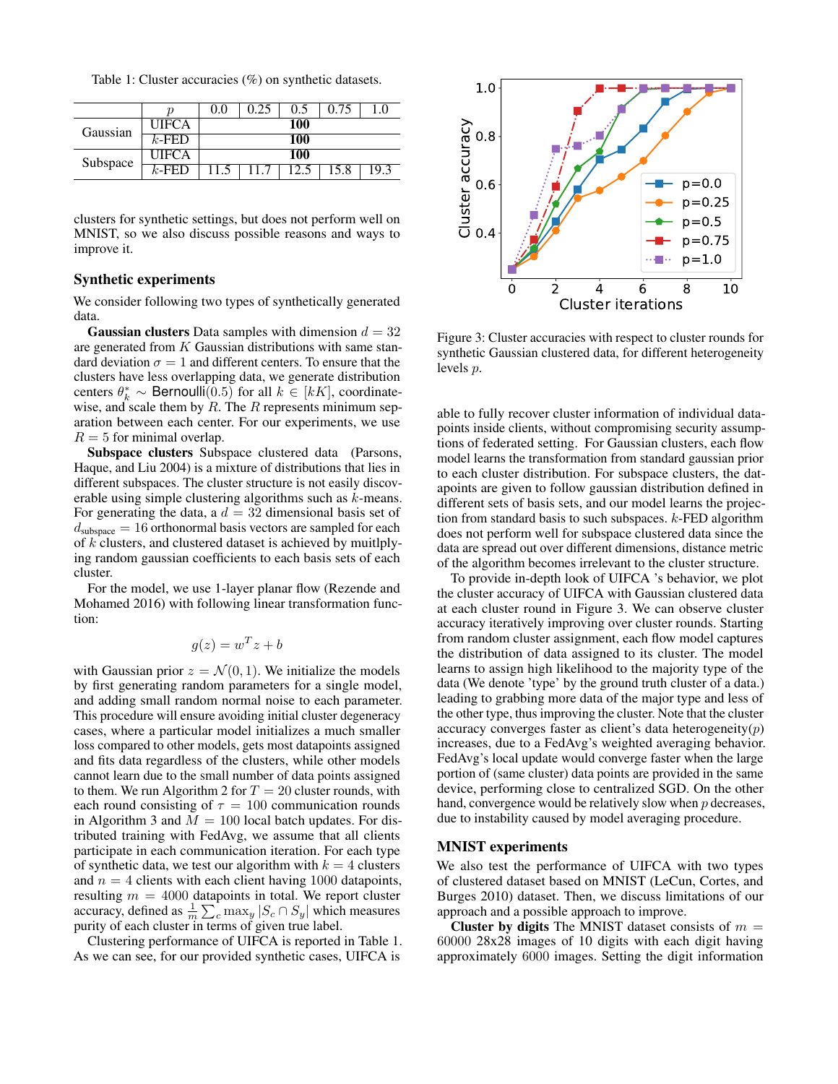Table 1: Cluster accuracies (%) on synthetic datasets.

|          | ŋ            | 0.0 | 0.25 | 0.5 | 0.75 |      |  |
|----------|--------------|-----|------|-----|------|------|--|
| Gaussian | <b>UIFCA</b> | 100 |      |     |      |      |  |
|          | $k$ -FED     |     |      | 100 |      |      |  |
| Subspace | <b>UIFCA</b> |     |      | 100 |      |      |  |
|          | $k$ -FED     |     |      |     |      | د ۱۵ |  |

clusters for synthetic settings, but does not perform well on MNIST, so we also discuss possible reasons and ways to improve it.

# Synthetic experiments

We consider following two types of synthetically generated data.

**Gaussian clusters** Data samples with dimension  $d = 32$ are generated from  $K$  Gaussian distributions with same standard deviation  $\sigma = 1$  and different centers. To ensure that the clusters have less overlapping data, we generate distribution centers  $\theta_k^* \sim \text{Bernoulli}(0.5)$  for all  $k \in [k]$ , coordinatewise, and scale them by  $R$ . The  $R$  represents minimum separation between each center. For our experiments, we use  $R = 5$  for minimal overlap.

Subspace clusters Subspace clustered data (Parsons, Haque, and Liu 2004) is a mixture of distributions that lies in different subspaces. The cluster structure is not easily discoverable using simple clustering algorithms such as k-means. For generating the data, a  $d = 32$  dimensional basis set of  $d_{\text{subspace}} = 16$  orthonormal basis vectors are sampled for each of  $k$  clusters, and clustered dataset is achieved by muitlplying random gaussian coefficients to each basis sets of each cluster.

For the model, we use 1-layer planar flow (Rezende and Mohamed 2016) with following linear transformation function:

$$
g(z) = w^T z + b
$$

with Gaussian prior  $z = \mathcal{N}(0, 1)$ . We initialize the models by first generating random parameters for a single model, and adding small random normal noise to each parameter. This procedure will ensure avoiding initial cluster degeneracy cases, where a particular model initializes a much smaller loss compared to other models, gets most datapoints assigned and fits data regardless of the clusters, while other models cannot learn due to the small number of data points assigned to them. We run Algorithm 2 for  $T = 20$  cluster rounds, with each round consisting of  $\tau = 100$  communication rounds in Algorithm 3 and  $M = 100$  local batch updates. For distributed training with FedAvg, we assume that all clients participate in each communication iteration. For each type of synthetic data, we test our algorithm with  $k = 4$  clusters and  $n = 4$  clients with each client having 1000 datapoints, resulting  $m = 4000$  datapoints in total. We report cluster accuracy, defined as  $\frac{1}{m} \sum_{c} \max_{y} |S_c \cap S_y|$  which measures purity of each cluster in terms of given true label.

Clustering performance of UIFCA is reported in Table 1. As we can see, for our provided synthetic cases, UIFCA is



Figure 3: Cluster accuracies with respect to cluster rounds for synthetic Gaussian clustered data, for different heterogeneity levels p.

able to fully recover cluster information of individual datapoints inside clients, without compromising security assumptions of federated setting. For Gaussian clusters, each flow model learns the transformation from standard gaussian prior to each cluster distribution. For subspace clusters, the datapoints are given to follow gaussian distribution defined in different sets of basis sets, and our model learns the projection from standard basis to such subspaces. k-FED algorithm does not perform well for subspace clustered data since the data are spread out over different dimensions, distance metric of the algorithm becomes irrelevant to the cluster structure.

To provide in-depth look of UIFCA 's behavior, we plot the cluster accuracy of UIFCA with Gaussian clustered data at each cluster round in Figure 3. We can observe cluster accuracy iteratively improving over cluster rounds. Starting from random cluster assignment, each flow model captures the distribution of data assigned to its cluster. The model learns to assign high likelihood to the majority type of the data (We denote 'type' by the ground truth cluster of a data.) leading to grabbing more data of the major type and less of the other type, thus improving the cluster. Note that the cluster accuracy converges faster as client's data heterogeneity $(p)$ increases, due to a FedAvg's weighted averaging behavior. FedAvg's local update would converge faster when the large portion of (same cluster) data points are provided in the same device, performing close to centralized SGD. On the other hand, convergence would be relatively slow when  $p$  decreases, due to instability caused by model averaging procedure.

### MNIST experiments

We also test the performance of UIFCA with two types of clustered dataset based on MNIST (LeCun, Cortes, and Burges 2010) dataset. Then, we discuss limitations of our approach and a possible approach to improve.

Cluster by digits The MNIST dataset consists of  $m =$ 60000 28x28 images of 10 digits with each digit having approximately 6000 images. Setting the digit information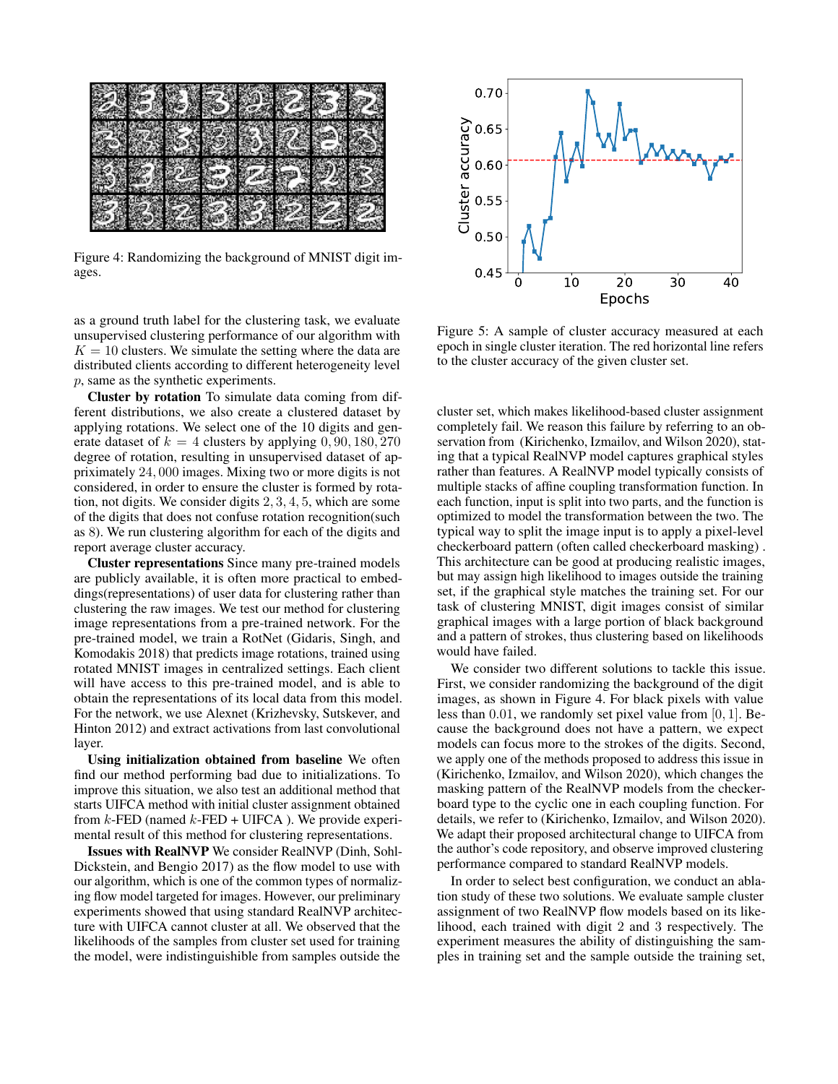

Figure 4: Randomizing the background of MNIST digit images.

as a ground truth label for the clustering task, we evaluate unsupervised clustering performance of our algorithm with  $K = 10$  clusters. We simulate the setting where the data are distributed clients according to different heterogeneity level p, same as the synthetic experiments.

Cluster by rotation To simulate data coming from different distributions, we also create a clustered dataset by applying rotations. We select one of the 10 digits and generate dataset of  $k = 4$  clusters by applying 0, 90, 180, 270 degree of rotation, resulting in unsupervised dataset of appriximately 24, 000 images. Mixing two or more digits is not considered, in order to ensure the cluster is formed by rotation, not digits. We consider digits 2, 3, 4, 5, which are some of the digits that does not confuse rotation recognition(such as 8). We run clustering algorithm for each of the digits and report average cluster accuracy.

Cluster representations Since many pre-trained models are publicly available, it is often more practical to embeddings(representations) of user data for clustering rather than clustering the raw images. We test our method for clustering image representations from a pre-trained network. For the pre-trained model, we train a RotNet (Gidaris, Singh, and Komodakis 2018) that predicts image rotations, trained using rotated MNIST images in centralized settings. Each client will have access to this pre-trained model, and is able to obtain the representations of its local data from this model. For the network, we use Alexnet (Krizhevsky, Sutskever, and Hinton 2012) and extract activations from last convolutional layer.

Using initialization obtained from baseline We often find our method performing bad due to initializations. To improve this situation, we also test an additional method that starts UIFCA method with initial cluster assignment obtained from  $k$ -FED (named  $k$ -FED + UIFCA). We provide experimental result of this method for clustering representations.

Issues with RealNVP We consider RealNVP (Dinh, Sohl-Dickstein, and Bengio 2017) as the flow model to use with our algorithm, which is one of the common types of normalizing flow model targeted for images. However, our preliminary experiments showed that using standard RealNVP architecture with UIFCA cannot cluster at all. We observed that the likelihoods of the samples from cluster set used for training the model, were indistinguishible from samples outside the



Figure 5: A sample of cluster accuracy measured at each epoch in single cluster iteration. The red horizontal line refers to the cluster accuracy of the given cluster set.

cluster set, which makes likelihood-based cluster assignment completely fail. We reason this failure by referring to an observation from (Kirichenko, Izmailov, and Wilson 2020), stating that a typical RealNVP model captures graphical styles rather than features. A RealNVP model typically consists of multiple stacks of affine coupling transformation function. In each function, input is split into two parts, and the function is optimized to model the transformation between the two. The typical way to split the image input is to apply a pixel-level checkerboard pattern (often called checkerboard masking) . This architecture can be good at producing realistic images, but may assign high likelihood to images outside the training set, if the graphical style matches the training set. For our task of clustering MNIST, digit images consist of similar graphical images with a large portion of black background and a pattern of strokes, thus clustering based on likelihoods would have failed.

We consider two different solutions to tackle this issue. First, we consider randomizing the background of the digit images, as shown in Figure 4. For black pixels with value less than 0.01, we randomly set pixel value from  $[0, 1]$ . Because the background does not have a pattern, we expect models can focus more to the strokes of the digits. Second, we apply one of the methods proposed to address this issue in (Kirichenko, Izmailov, and Wilson 2020), which changes the masking pattern of the RealNVP models from the checkerboard type to the cyclic one in each coupling function. For details, we refer to (Kirichenko, Izmailov, and Wilson 2020). We adapt their proposed architectural change to UIFCA from the author's code repository, and observe improved clustering performance compared to standard RealNVP models.

In order to select best configuration, we conduct an ablation study of these two solutions. We evaluate sample cluster assignment of two RealNVP flow models based on its likelihood, each trained with digit 2 and 3 respectively. The experiment measures the ability of distinguishing the samples in training set and the sample outside the training set,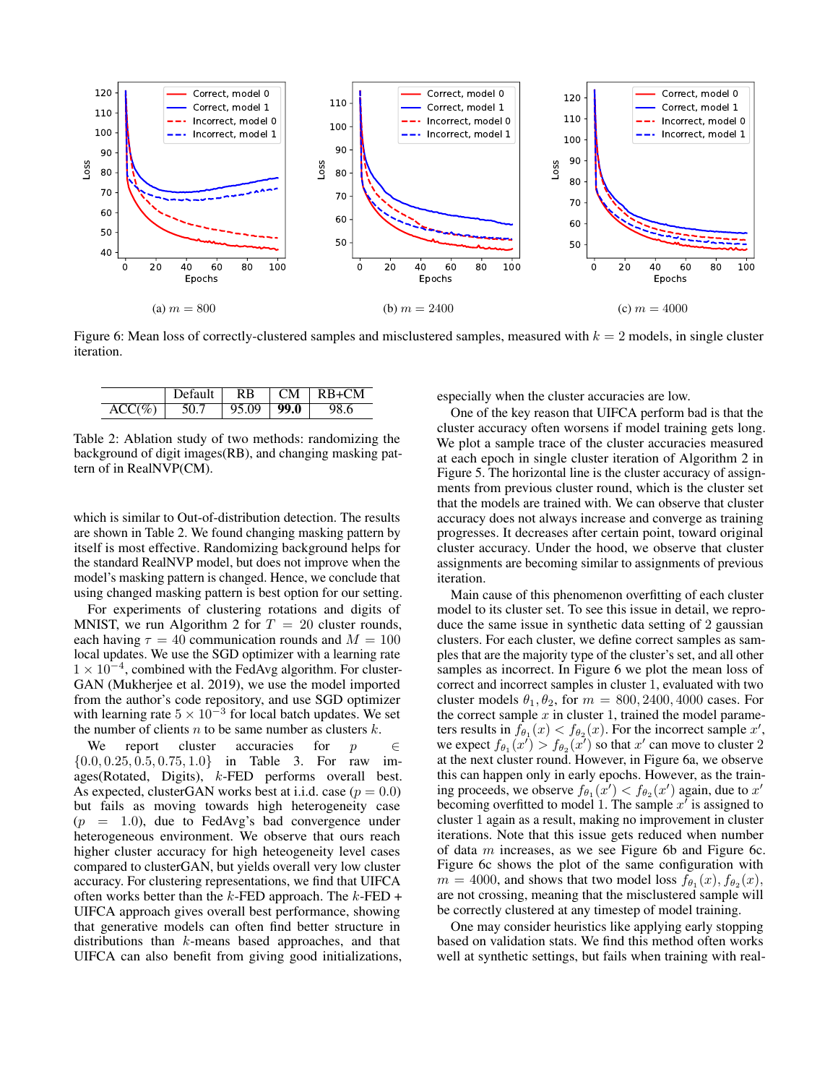

Figure 6: Mean loss of correctly-clustered samples and misclustered samples, measured with  $k = 2$  models, in single cluster iteration.

|           | Default | <b>RB</b> | $\perp$ CM | $RB+CM$ |
|-----------|---------|-----------|------------|---------|
| $ACC(\%)$ |         | 95.09     | 99.0       | 98.6    |

Table 2: Ablation study of two methods: randomizing the background of digit images(RB), and changing masking pattern of in RealNVP(CM).

which is similar to Out-of-distribution detection. The results are shown in Table 2. We found changing masking pattern by itself is most effective. Randomizing background helps for the standard RealNVP model, but does not improve when the model's masking pattern is changed. Hence, we conclude that using changed masking pattern is best option for our setting.

For experiments of clustering rotations and digits of MNIST, we run Algorithm 2 for  $T = 20$  cluster rounds, each having  $\tau = 40$  communication rounds and  $M = 100$ local updates. We use the SGD optimizer with a learning rate 1 × 10<sup>-4</sup>, combined with the FedAvg algorithm. For cluster-GAN (Mukherjee et al. 2019), we use the model imported from the author's code repository, and use SGD optimizer with learning rate  $5 \times 10^{-3}$  for local batch updates. We set the number of clients  $n$  to be same number as clusters  $k$ .

We report cluster accuracies for  $p \in \mathbb{R}$  $\{0.0, 0.25, 0.5, 0.75, 1.0\}$  in Table 3. For raw images(Rotated, Digits), k-FED performs overall best. As expected, clusterGAN works best at i.i.d. case ( $p = 0.0$ ) but fails as moving towards high heterogeneity case  $(p = 1.0)$ , due to FedAvg's bad convergence under heterogeneous environment. We observe that ours reach higher cluster accuracy for high heteogeneity level cases compared to clusterGAN, but yields overall very low cluster accuracy. For clustering representations, we find that UIFCA often works better than the  $k$ -FED approach. The  $k$ -FED + UIFCA approach gives overall best performance, showing that generative models can often find better structure in distributions than k-means based approaches, and that UIFCA can also benefit from giving good initializations, especially when the cluster accuracies are low.

One of the key reason that UIFCA perform bad is that the cluster accuracy often worsens if model training gets long. We plot a sample trace of the cluster accuracies measured at each epoch in single cluster iteration of Algorithm 2 in Figure 5. The horizontal line is the cluster accuracy of assignments from previous cluster round, which is the cluster set that the models are trained with. We can observe that cluster accuracy does not always increase and converge as training progresses. It decreases after certain point, toward original cluster accuracy. Under the hood, we observe that cluster assignments are becoming similar to assignments of previous iteration.

Main cause of this phenomenon overfitting of each cluster model to its cluster set. To see this issue in detail, we reproduce the same issue in synthetic data setting of 2 gaussian clusters. For each cluster, we define correct samples as samples that are the majority type of the cluster's set, and all other samples as incorrect. In Figure 6 we plot the mean loss of correct and incorrect samples in cluster 1, evaluated with two cluster models  $\theta_1, \theta_2$ , for  $m = 800, 2400, 4000$  cases. For the correct sample  $x$  in cluster 1, trained the model parameters results in  $f_{\theta_1}(x) < f_{\theta_2}(x)$ . For the incorrect sample  $x'$ , we expect  $f_{\theta_1}(x') > f_{\theta_2}(x')$  so that  $x'$  can move to cluster 2 at the next cluster round. However, in Figure 6a, we observe this can happen only in early epochs. However, as the training proceeds, we observe  $f_{\theta_1}(x') < f_{\theta_2}(x')$  again, due to  $x'$ becoming overfitted to model 1. The sample  $x^i$  is assigned to cluster 1 again as a result, making no improvement in cluster iterations. Note that this issue gets reduced when number of data  $m$  increases, as we see Figure 6b and Figure 6c. Figure 6c shows the plot of the same configuration with  $m = 4000$ , and shows that two model loss  $f_{\theta_1}(x)$ ,  $f_{\theta_2}(x)$ , are not crossing, meaning that the misclustered sample will be correctly clustered at any timestep of model training.

One may consider heuristics like applying early stopping based on validation stats. We find this method often works well at synthetic settings, but fails when training with real-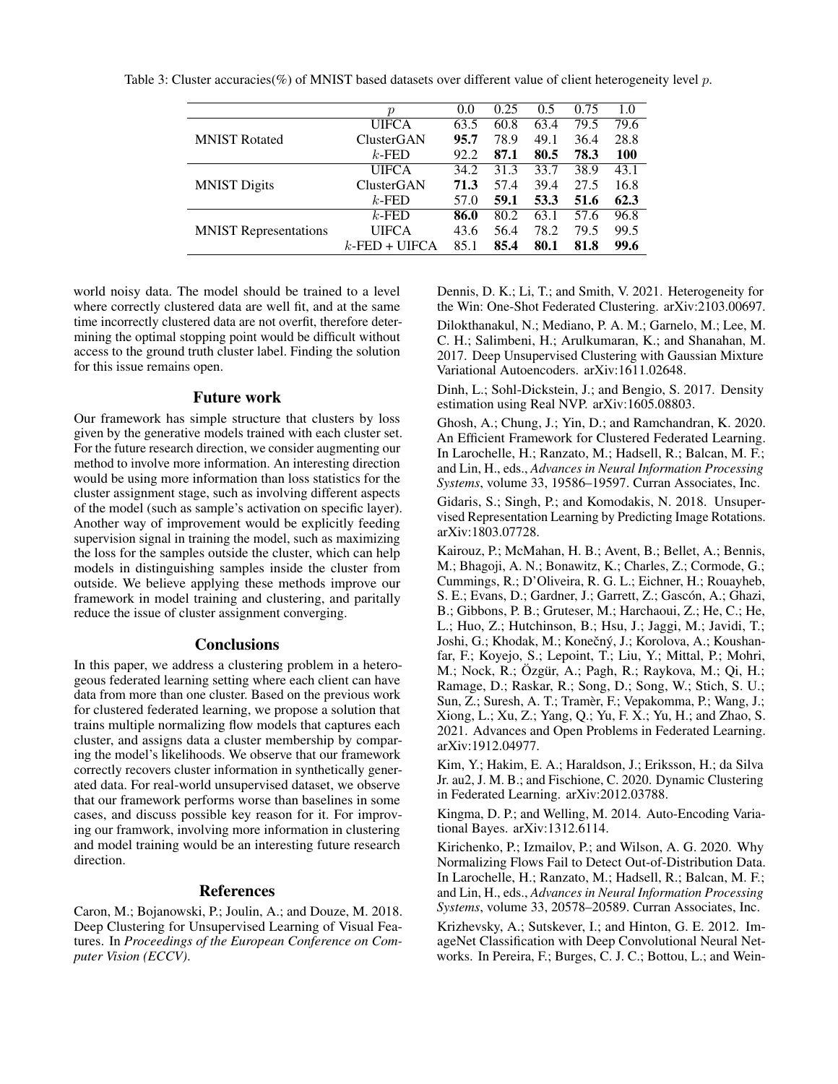|                              | р                | 0.0  | 0.25 | 0.5  | 0.75 | 1.0  |
|------------------------------|------------------|------|------|------|------|------|
|                              | <b>UIFCA</b>     | 63.5 | 60.8 | 63.4 | 79.5 | 79.6 |
| <b>MNIST Rotated</b>         | ClusterGAN       | 95.7 | 78.9 | 49.1 | 36.4 | 28.8 |
|                              | $k$ -FED         | 92.2 | 87.1 | 80.5 | 78.3 | 100  |
|                              | <b>UIFCA</b>     | 34.2 | 31.3 | 33.7 | 38.9 | 43.1 |
| <b>MNIST Digits</b>          | ClusterGAN       | 71.3 | 57.4 | 39.4 | 27.5 | 16.8 |
|                              | $k$ -FED         | 57.0 | 59.1 | 53.3 | 51.6 | 62.3 |
|                              | $k$ -FED         | 86.0 | 80.2 | 63.1 | 57.6 | 96.8 |
| <b>MNIST Representations</b> | <b>UIFCA</b>     | 43.6 | 56.4 | 78.2 | 79.5 | 99.5 |
|                              | $k$ -FED + UIFCA | 85.1 | 85.4 | 80.1 | 81.8 | 99.6 |

Table 3: Cluster accuracies(%) of MNIST based datasets over different value of client heterogeneity level p.

world noisy data. The model should be trained to a level where correctly clustered data are well fit, and at the same time incorrectly clustered data are not overfit, therefore determining the optimal stopping point would be difficult without access to the ground truth cluster label. Finding the solution for this issue remains open.

## Future work

Our framework has simple structure that clusters by loss given by the generative models trained with each cluster set. For the future research direction, we consider augmenting our method to involve more information. An interesting direction would be using more information than loss statistics for the cluster assignment stage, such as involving different aspects of the model (such as sample's activation on specific layer). Another way of improvement would be explicitly feeding supervision signal in training the model, such as maximizing the loss for the samples outside the cluster, which can help models in distinguishing samples inside the cluster from outside. We believe applying these methods improve our framework in model training and clustering, and paritally reduce the issue of cluster assignment converging.

### **Conclusions**

In this paper, we address a clustering problem in a heterogeous federated learning setting where each client can have data from more than one cluster. Based on the previous work for clustered federated learning, we propose a solution that trains multiple normalizing flow models that captures each cluster, and assigns data a cluster membership by comparing the model's likelihoods. We observe that our framework correctly recovers cluster information in synthetically generated data. For real-world unsupervised dataset, we observe that our framework performs worse than baselines in some cases, and discuss possible key reason for it. For improving our framwork, involving more information in clustering and model training would be an interesting future research direction.

## References

Caron, M.; Bojanowski, P.; Joulin, A.; and Douze, M. 2018. Deep Clustering for Unsupervised Learning of Visual Features. In *Proceedings of the European Conference on Computer Vision (ECCV)*.

Dennis, D. K.; Li, T.; and Smith, V. 2021. Heterogeneity for the Win: One-Shot Federated Clustering. arXiv:2103.00697. Dilokthanakul, N.; Mediano, P. A. M.; Garnelo, M.; Lee, M. C. H.; Salimbeni, H.; Arulkumaran, K.; and Shanahan, M. 2017. Deep Unsupervised Clustering with Gaussian Mixture Variational Autoencoders. arXiv:1611.02648.

Dinh, L.; Sohl-Dickstein, J.; and Bengio, S. 2017. Density estimation using Real NVP. arXiv:1605.08803.

Ghosh, A.; Chung, J.; Yin, D.; and Ramchandran, K. 2020. An Efficient Framework for Clustered Federated Learning. In Larochelle, H.; Ranzato, M.; Hadsell, R.; Balcan, M. F.; and Lin, H., eds., *Advances in Neural Information Processing Systems*, volume 33, 19586–19597. Curran Associates, Inc.

Gidaris, S.; Singh, P.; and Komodakis, N. 2018. Unsupervised Representation Learning by Predicting Image Rotations. arXiv:1803.07728.

Kairouz, P.; McMahan, H. B.; Avent, B.; Bellet, A.; Bennis, M.; Bhagoji, A. N.; Bonawitz, K.; Charles, Z.; Cormode, G.; Cummings, R.; D'Oliveira, R. G. L.; Eichner, H.; Rouayheb, S. E.; Evans, D.; Gardner, J.; Garrett, Z.; Gascón, A.; Ghazi, B.; Gibbons, P. B.; Gruteser, M.; Harchaoui, Z.; He, C.; He, L.; Huo, Z.; Hutchinson, B.; Hsu, J.; Jaggi, M.; Javidi, T.; Joshi, G.; Khodak, M.; Konečný, J.; Korolova, A.; Koushanfar, F.; Koyejo, S.; Lepoint, T.; Liu, Y.; Mittal, P.; Mohri, M.; Nock, R.; Özgür, A.; Pagh, R.; Raykova, M.; Qi, H.; Ramage, D.; Raskar, R.; Song, D.; Song, W.; Stich, S. U.; Sun, Z.; Suresh, A. T.; Tramèr, F.; Vepakomma, P.; Wang, J.; Xiong, L.; Xu, Z.; Yang, Q.; Yu, F. X.; Yu, H.; and Zhao, S. 2021. Advances and Open Problems in Federated Learning. arXiv:1912.04977.

Kim, Y.; Hakim, E. A.; Haraldson, J.; Eriksson, H.; da Silva Jr. au2, J. M. B.; and Fischione, C. 2020. Dynamic Clustering in Federated Learning. arXiv:2012.03788.

Kingma, D. P.; and Welling, M. 2014. Auto-Encoding Variational Bayes. arXiv:1312.6114.

Kirichenko, P.; Izmailov, P.; and Wilson, A. G. 2020. Why Normalizing Flows Fail to Detect Out-of-Distribution Data. In Larochelle, H.; Ranzato, M.; Hadsell, R.; Balcan, M. F.; and Lin, H., eds., *Advances in Neural Information Processing Systems*, volume 33, 20578–20589. Curran Associates, Inc.

Krizhevsky, A.; Sutskever, I.; and Hinton, G. E. 2012. ImageNet Classification with Deep Convolutional Neural Networks. In Pereira, F.; Burges, C. J. C.; Bottou, L.; and Wein